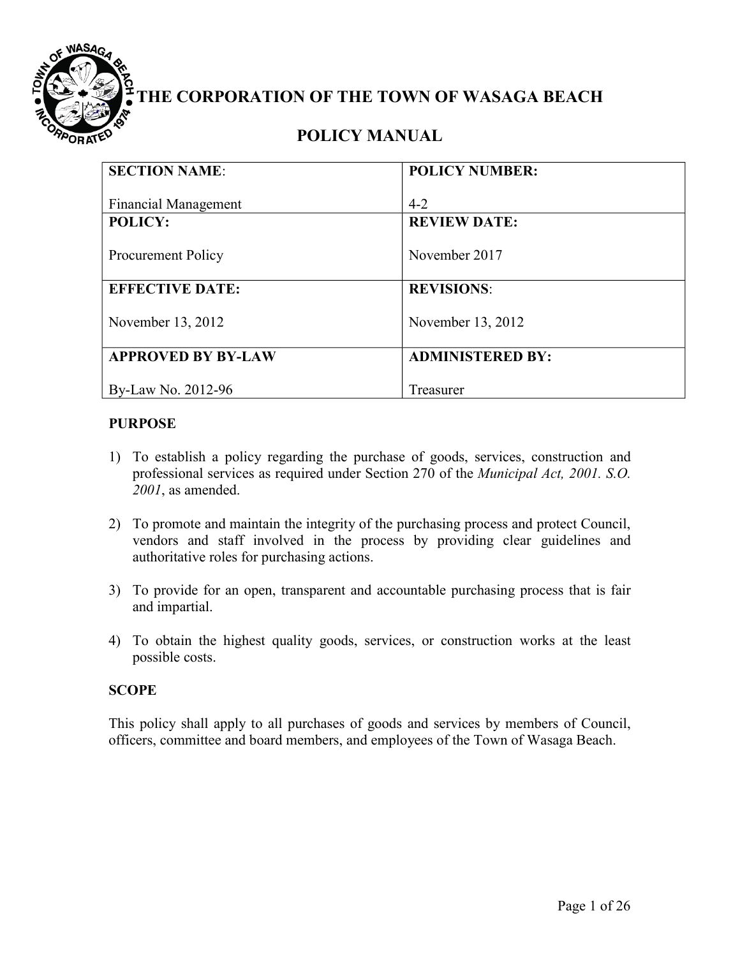

# **THE CORPORATION OF THE TOWN OF WASAGA BEACH**

# **POLICY MANUAL**

| <b>SECTION NAME:</b>        | <b>POLICY NUMBER:</b>   |
|-----------------------------|-------------------------|
|                             |                         |
| <b>Financial Management</b> | $4-2$                   |
| <b>POLICY:</b>              | <b>REVIEW DATE:</b>     |
|                             |                         |
| <b>Procurement Policy</b>   | November 2017           |
|                             |                         |
| <b>EFFECTIVE DATE:</b>      | <b>REVISIONS:</b>       |
|                             |                         |
| November 13, 2012           | November 13, 2012       |
|                             |                         |
| <b>APPROVED BY BY-LAW</b>   | <b>ADMINISTERED BY:</b> |
|                             |                         |
| By-Law No. 2012-96          | Treasurer               |
|                             |                         |

# **PURPOSE**

- 1) To establish a policy regarding the purchase of goods, services, construction and professional services as required under Section 270 of the *Municipal Act, 2001. S.O. 2001*, as amended.
- 2) To promote and maintain the integrity of the purchasing process and protect Council, vendors and staff involved in the process by providing clear guidelines and authoritative roles for purchasing actions.
- 3) To provide for an open, transparent and accountable purchasing process that is fair and impartial.
- 4) To obtain the highest quality goods, services, or construction works at the least possible costs.

# **SCOPE**

This policy shall apply to all purchases of goods and services by members of Council, officers, committee and board members, and employees of the Town of Wasaga Beach.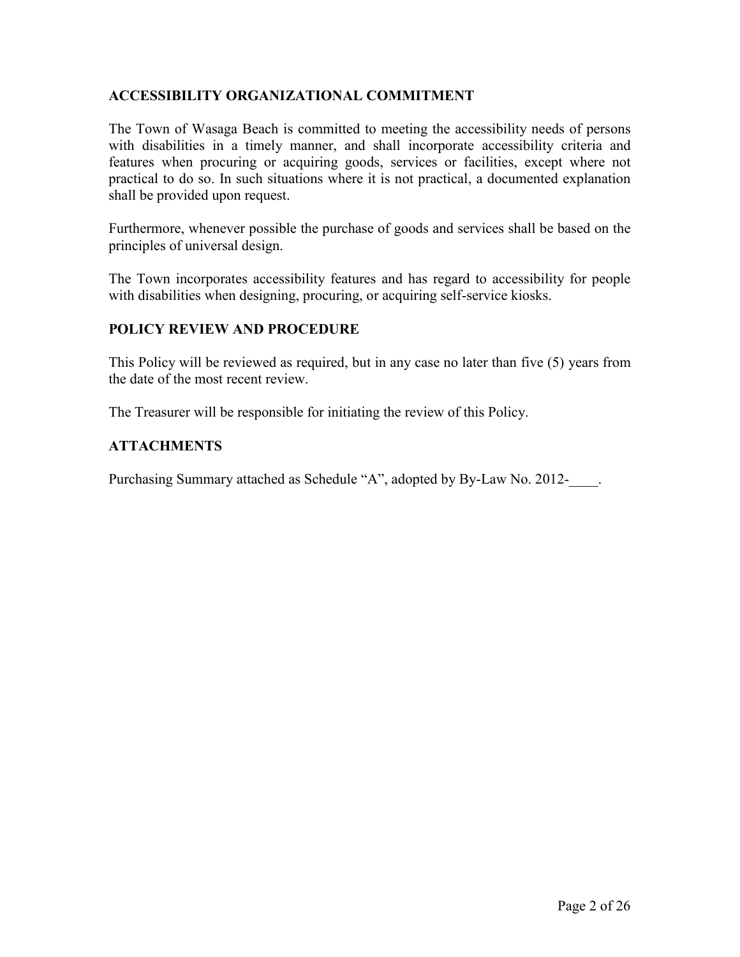# **ACCESSIBILITY ORGANIZATIONAL COMMITMENT**

The Town of Wasaga Beach is committed to meeting the accessibility needs of persons with disabilities in a timely manner, and shall incorporate accessibility criteria and features when procuring or acquiring goods, services or facilities, except where not practical to do so. In such situations where it is not practical, a documented explanation shall be provided upon request.

Furthermore, whenever possible the purchase of goods and services shall be based on the principles of universal design.

The Town incorporates accessibility features and has regard to accessibility for people with disabilities when designing, procuring, or acquiring self-service kiosks.

# **POLICY REVIEW AND PROCEDURE**

This Policy will be reviewed as required, but in any case no later than five (5) years from the date of the most recent review.

The Treasurer will be responsible for initiating the review of this Policy.

# **ATTACHMENTS**

Purchasing Summary attached as Schedule "A", adopted by By-Law No. 2012-<br>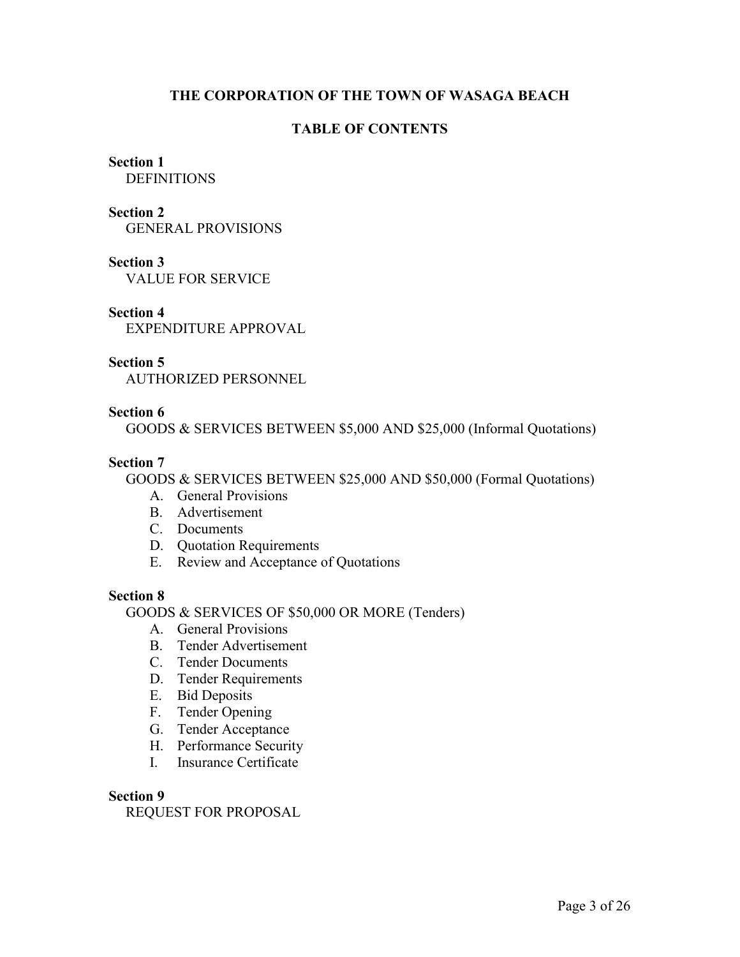# **THE CORPORATION OF THE TOWN OF WASAGA BEACH**

# **TABLE OF CONTENTS**

# **Section 1**

**DEFINITIONS** 

#### **Section 2**

GENERAL PROVISIONS

# **Section 3**

VALUE FOR SERVICE

# **Section 4**

EXPENDITURE APPROVAL

#### **Section 5**

AUTHORIZED PERSONNEL

# **Section 6**

GOODS & SERVICES BETWEEN \$5,000 AND \$25,000 (Informal Quotations)

# **Section 7**

GOODS & SERVICES BETWEEN \$25,000 AND \$50,000 (Formal Quotations)

- A. General Provisions
- B. Advertisement
- C. Documents
- D. Quotation Requirements
- E. Review and Acceptance of Quotations

# **Section 8**

GOODS & SERVICES OF \$50,000 OR MORE (Tenders)

- A. General Provisions
- B. Tender Advertisement
- C. Tender Documents
- D. Tender Requirements
- E. Bid Deposits
- F. Tender Opening
- G. Tender Acceptance
- H. Performance Security
- I. Insurance Certificate

#### **Section 9**

REQUEST FOR PROPOSAL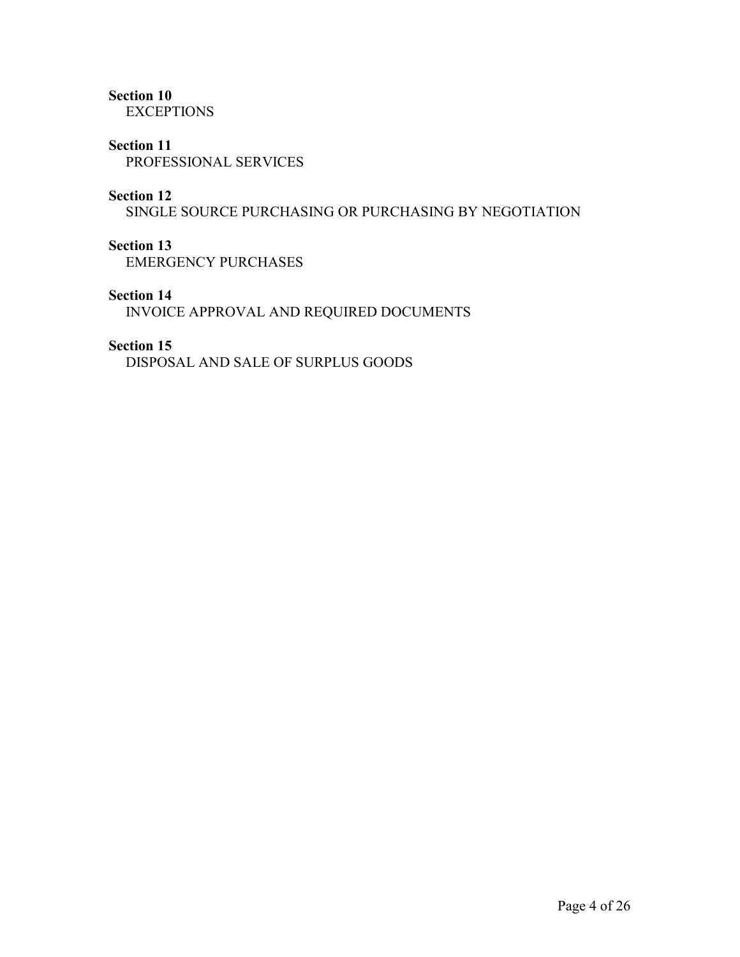# **Section 10**

**EXCEPTIONS** 

# **Section 11**

PROFESSIONAL SERVICES

# **Section 12**

SINGLE SOURCE PURCHASING OR PURCHASING BY NEGOTIATION

# **Section 13**

EMERGENCY PURCHASES

# **Section 14**

INVOICE APPROVAL AND REQUIRED DOCUMENTS

#### **Section 15**

DISPOSAL AND SALE OF SURPLUS GOODS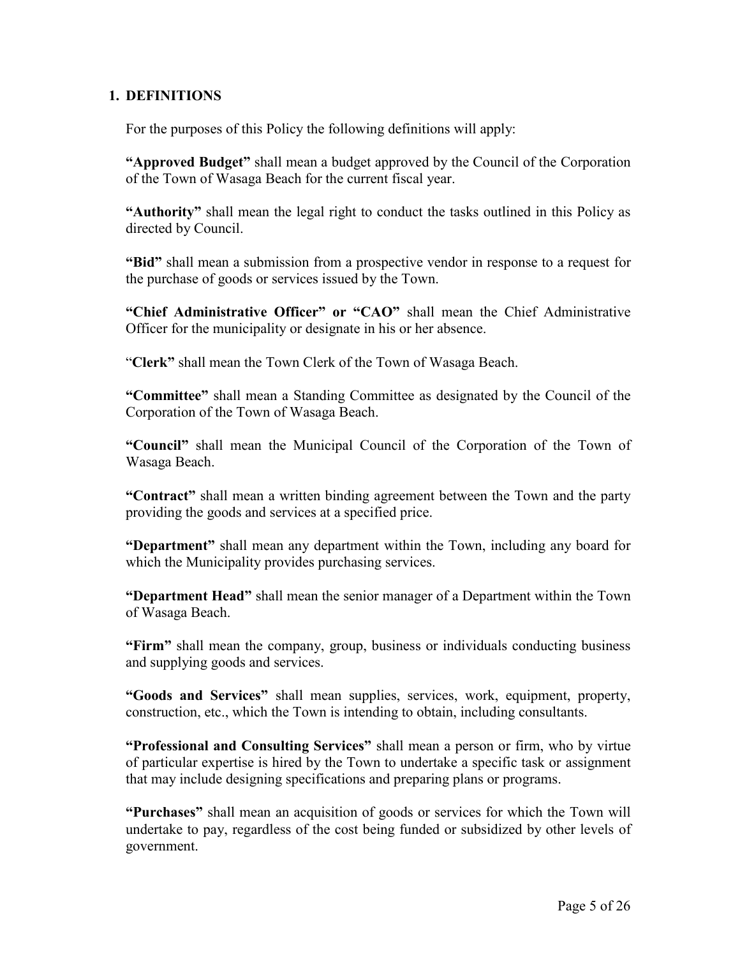# **1. DEFINITIONS**

For the purposes of this Policy the following definitions will apply:

**"Approved Budget"** shall mean a budget approved by the Council of the Corporation of the Town of Wasaga Beach for the current fiscal year.

**"Authority"** shall mean the legal right to conduct the tasks outlined in this Policy as directed by Council.

**"Bid"** shall mean a submission from a prospective vendor in response to a request for the purchase of goods or services issued by the Town.

**"Chief Administrative Officer" or "CAO"** shall mean the Chief Administrative Officer for the municipality or designate in his or her absence.

"**Clerk"** shall mean the Town Clerk of the Town of Wasaga Beach.

**"Committee"** shall mean a Standing Committee as designated by the Council of the Corporation of the Town of Wasaga Beach.

**"Council"** shall mean the Municipal Council of the Corporation of the Town of Wasaga Beach.

**"Contract"** shall mean a written binding agreement between the Town and the party providing the goods and services at a specified price.

**"Department"** shall mean any department within the Town, including any board for which the Municipality provides purchasing services.

**"Department Head"** shall mean the senior manager of a Department within the Town of Wasaga Beach.

**"Firm"** shall mean the company, group, business or individuals conducting business and supplying goods and services.

**"Goods and Services"** shall mean supplies, services, work, equipment, property, construction, etc., which the Town is intending to obtain, including consultants.

**"Professional and Consulting Services"** shall mean a person or firm, who by virtue of particular expertise is hired by the Town to undertake a specific task or assignment that may include designing specifications and preparing plans or programs.

**"Purchases"** shall mean an acquisition of goods or services for which the Town will undertake to pay, regardless of the cost being funded or subsidized by other levels of government.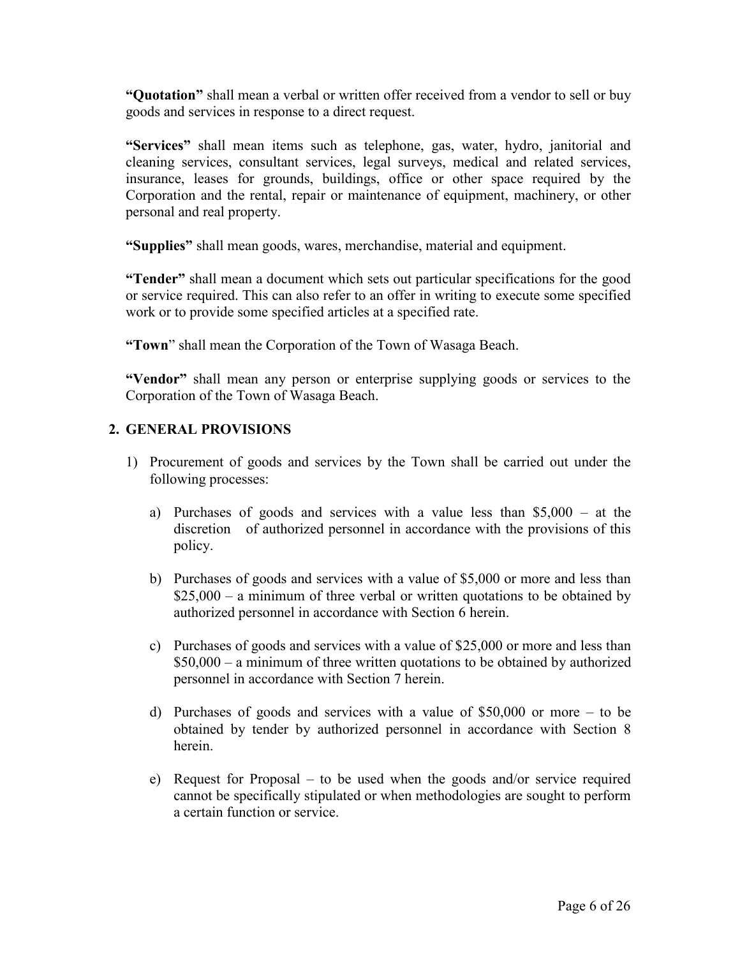**"Quotation"** shall mean a verbal or written offer received from a vendor to sell or buy goods and services in response to a direct request.

**"Services"** shall mean items such as telephone, gas, water, hydro, janitorial and cleaning services, consultant services, legal surveys, medical and related services, insurance, leases for grounds, buildings, office or other space required by the Corporation and the rental, repair or maintenance of equipment, machinery, or other personal and real property.

**"Supplies"** shall mean goods, wares, merchandise, material and equipment.

**"Tender"** shall mean a document which sets out particular specifications for the good or service required. This can also refer to an offer in writing to execute some specified work or to provide some specified articles at a specified rate.

**"Town**" shall mean the Corporation of the Town of Wasaga Beach.

**"Vendor"** shall mean any person or enterprise supplying goods or services to the Corporation of the Town of Wasaga Beach.

# **2. GENERAL PROVISIONS**

- 1) Procurement of goods and services by the Town shall be carried out under the following processes:
	- a) Purchases of goods and services with a value less than \$5,000 at the discretion of authorized personnel in accordance with the provisions of this policy.
	- b) Purchases of goods and services with a value of \$5,000 or more and less than  $$25,000 - a$  minimum of three verbal or written quotations to be obtained by authorized personnel in accordance with Section 6 herein.
	- c) Purchases of goods and services with a value of \$25,000 or more and less than \$50,000 – a minimum of three written quotations to be obtained by authorized personnel in accordance with Section 7 herein.
	- d) Purchases of goods and services with a value of \$50,000 or more to be obtained by tender by authorized personnel in accordance with Section 8 herein.
	- e) Request for Proposal to be used when the goods and/or service required cannot be specifically stipulated or when methodologies are sought to perform a certain function or service.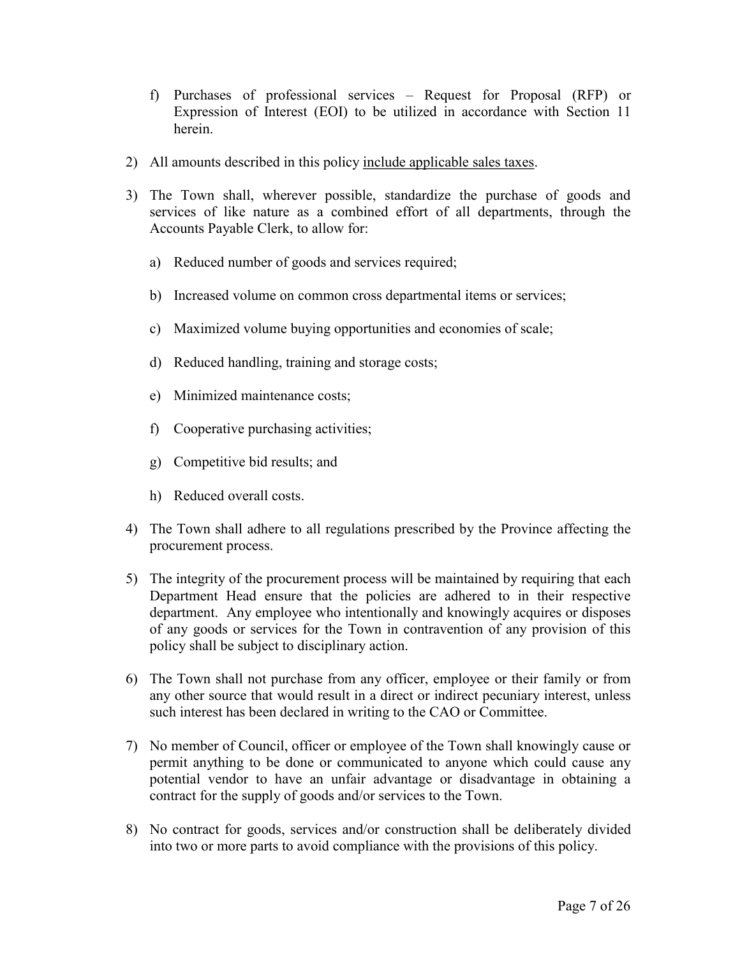- f) Purchases of professional services Request for Proposal (RFP) or Expression of Interest (EOI) to be utilized in accordance with Section 11 herein.
- 2) All amounts described in this policy include applicable sales taxes.
- 3) The Town shall, wherever possible, standardize the purchase of goods and services of like nature as a combined effort of all departments, through the Accounts Payable Clerk, to allow for:
	- a) Reduced number of goods and services required;
	- b) Increased volume on common cross departmental items or services;
	- c) Maximized volume buying opportunities and economies of scale;
	- d) Reduced handling, training and storage costs;
	- e) Minimized maintenance costs;
	- f) Cooperative purchasing activities;
	- g) Competitive bid results; and
	- h) Reduced overall costs.
- 4) The Town shall adhere to all regulations prescribed by the Province affecting the procurement process.
- 5) The integrity of the procurement process will be maintained by requiring that each Department Head ensure that the policies are adhered to in their respective department. Any employee who intentionally and knowingly acquires or disposes of any goods or services for the Town in contravention of any provision of this policy shall be subject to disciplinary action.
- 6) The Town shall not purchase from any officer, employee or their family or from any other source that would result in a direct or indirect pecuniary interest, unless such interest has been declared in writing to the CAO or Committee.
- 7) No member of Council, officer or employee of the Town shall knowingly cause or permit anything to be done or communicated to anyone which could cause any potential vendor to have an unfair advantage or disadvantage in obtaining a contract for the supply of goods and/or services to the Town.
- 8) No contract for goods, services and/or construction shall be deliberately divided into two or more parts to avoid compliance with the provisions of this policy.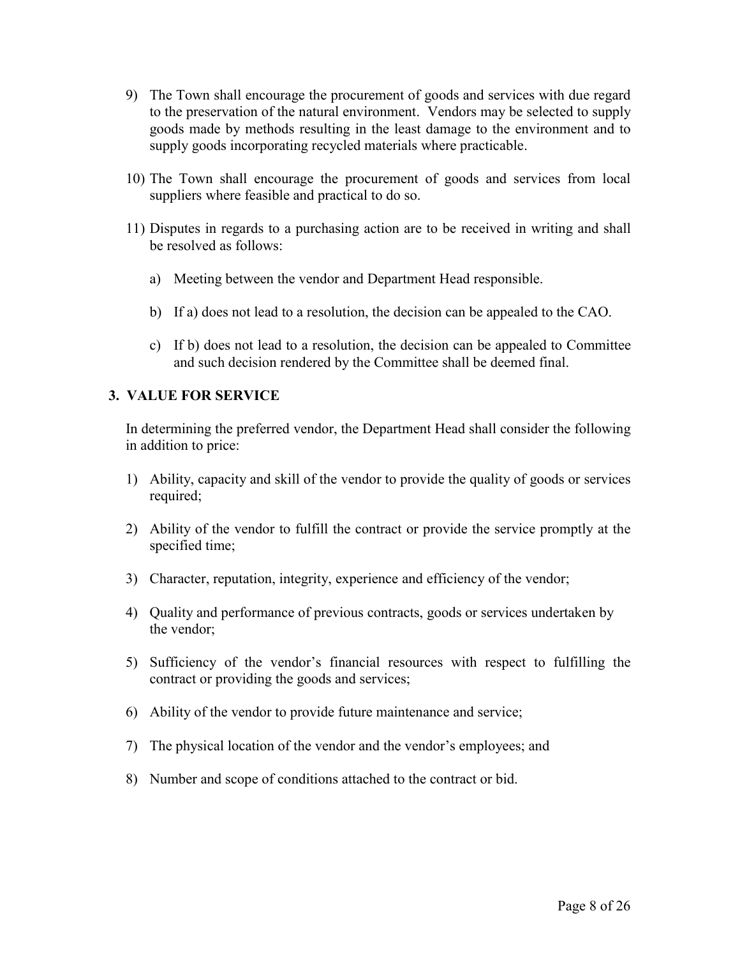- 9) The Town shall encourage the procurement of goods and services with due regard to the preservation of the natural environment. Vendors may be selected to supply goods made by methods resulting in the least damage to the environment and to supply goods incorporating recycled materials where practicable.
- 10) The Town shall encourage the procurement of goods and services from local suppliers where feasible and practical to do so.
- 11) Disputes in regards to a purchasing action are to be received in writing and shall be resolved as follows:
	- a) Meeting between the vendor and Department Head responsible.
	- b) If a) does not lead to a resolution, the decision can be appealed to the CAO.
	- c) If b) does not lead to a resolution, the decision can be appealed to Committee and such decision rendered by the Committee shall be deemed final.

# **3. VALUE FOR SERVICE**

In determining the preferred vendor, the Department Head shall consider the following in addition to price:

- 1) Ability, capacity and skill of the vendor to provide the quality of goods or services required;
- 2) Ability of the vendor to fulfill the contract or provide the service promptly at the specified time;
- 3) Character, reputation, integrity, experience and efficiency of the vendor;
- 4) Quality and performance of previous contracts, goods or services undertaken by the vendor;
- 5) Sufficiency of the vendor's financial resources with respect to fulfilling the contract or providing the goods and services;
- 6) Ability of the vendor to provide future maintenance and service;
- 7) The physical location of the vendor and the vendor's employees; and
- 8) Number and scope of conditions attached to the contract or bid.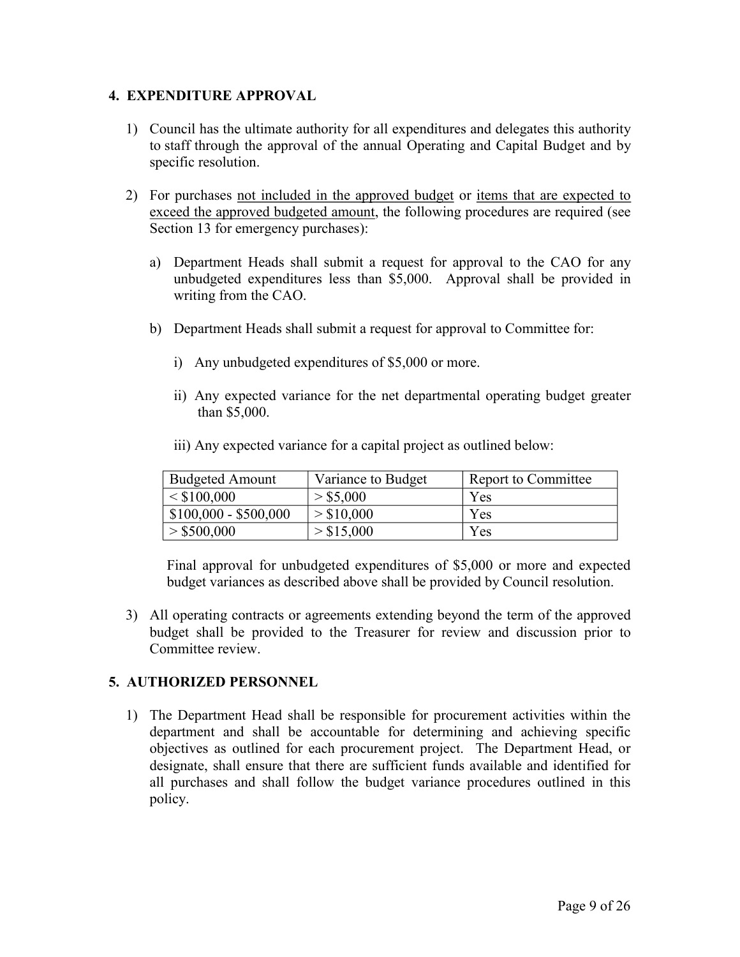# **4. EXPENDITURE APPROVAL**

- 1) Council has the ultimate authority for all expenditures and delegates this authority to staff through the approval of the annual Operating and Capital Budget and by specific resolution.
- 2) For purchases not included in the approved budget or items that are expected to exceed the approved budgeted amount, the following procedures are required (see Section 13 for emergency purchases):
	- a) Department Heads shall submit a request for approval to the CAO for any unbudgeted expenditures less than \$5,000. Approval shall be provided in writing from the CAO.
	- b) Department Heads shall submit a request for approval to Committee for:
		- i) Any unbudgeted expenditures of \$5,000 or more.
		- ii) Any expected variance for the net departmental operating budget greater than \$5,000.

|  |  | iii) Any expected variance for a capital project as outlined below: |
|--|--|---------------------------------------------------------------------|
|  |  |                                                                     |

| <b>Budgeted Amount</b> | Variance to Budget | Report to Committee |
|------------------------|--------------------|---------------------|
| < \$100,000            | > \$5,000          | Yes                 |
| $$100,000 - $500,000$  | > \$10,000         | Yes                 |
| > \$500,000            | > \$15,000         | Yes                 |

Final approval for unbudgeted expenditures of \$5,000 or more and expected budget variances as described above shall be provided by Council resolution.

3) All operating contracts or agreements extending beyond the term of the approved budget shall be provided to the Treasurer for review and discussion prior to Committee review.

# **5. AUTHORIZED PERSONNEL**

1) The Department Head shall be responsible for procurement activities within the department and shall be accountable for determining and achieving specific objectives as outlined for each procurement project. The Department Head, or designate, shall ensure that there are sufficient funds available and identified for all purchases and shall follow the budget variance procedures outlined in this policy.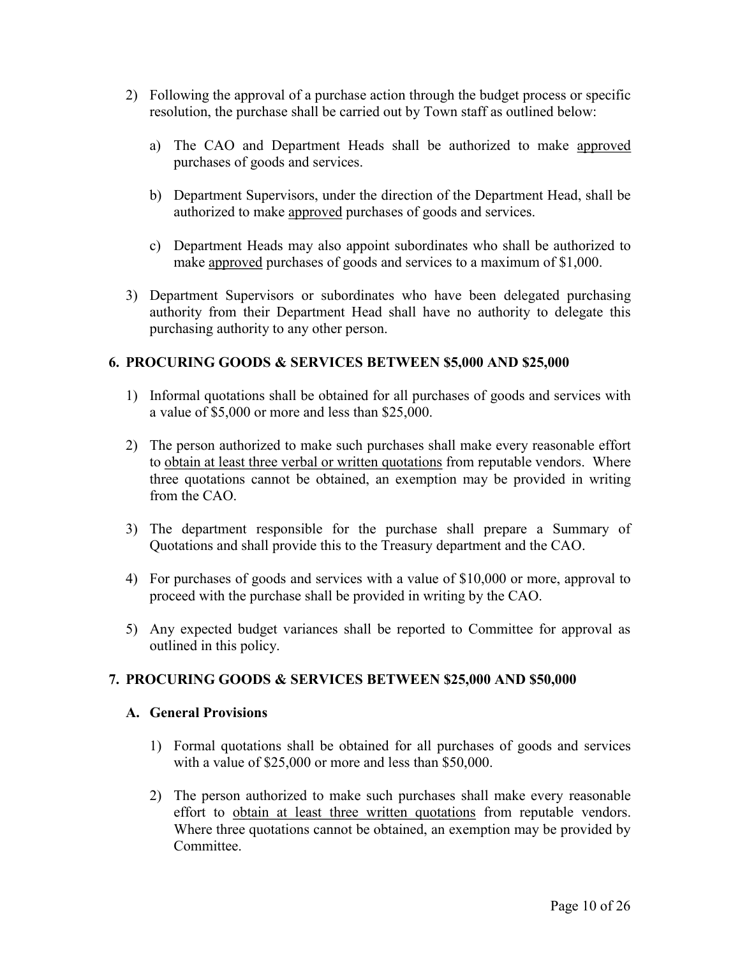- 2) Following the approval of a purchase action through the budget process or specific resolution, the purchase shall be carried out by Town staff as outlined below:
	- a) The CAO and Department Heads shall be authorized to make approved purchases of goods and services.
	- b) Department Supervisors, under the direction of the Department Head, shall be authorized to make approved purchases of goods and services.
	- c) Department Heads may also appoint subordinates who shall be authorized to make approved purchases of goods and services to a maximum of \$1,000.
- 3) Department Supervisors or subordinates who have been delegated purchasing authority from their Department Head shall have no authority to delegate this purchasing authority to any other person.

# **6. PROCURING GOODS & SERVICES BETWEEN \$5,000 AND \$25,000**

- 1) Informal quotations shall be obtained for all purchases of goods and services with a value of \$5,000 or more and less than \$25,000.
- 2) The person authorized to make such purchases shall make every reasonable effort to obtain at least three verbal or written quotations from reputable vendors. Where three quotations cannot be obtained, an exemption may be provided in writing from the CAO.
- 3) The department responsible for the purchase shall prepare a Summary of Quotations and shall provide this to the Treasury department and the CAO.
- 4) For purchases of goods and services with a value of \$10,000 or more, approval to proceed with the purchase shall be provided in writing by the CAO.
- 5) Any expected budget variances shall be reported to Committee for approval as outlined in this policy.

#### **7. PROCURING GOODS & SERVICES BETWEEN \$25,000 AND \$50,000**

#### **A. General Provisions**

- 1) Formal quotations shall be obtained for all purchases of goods and services with a value of \$25,000 or more and less than \$50,000.
- 2) The person authorized to make such purchases shall make every reasonable effort to obtain at least three written quotations from reputable vendors. Where three quotations cannot be obtained, an exemption may be provided by Committee.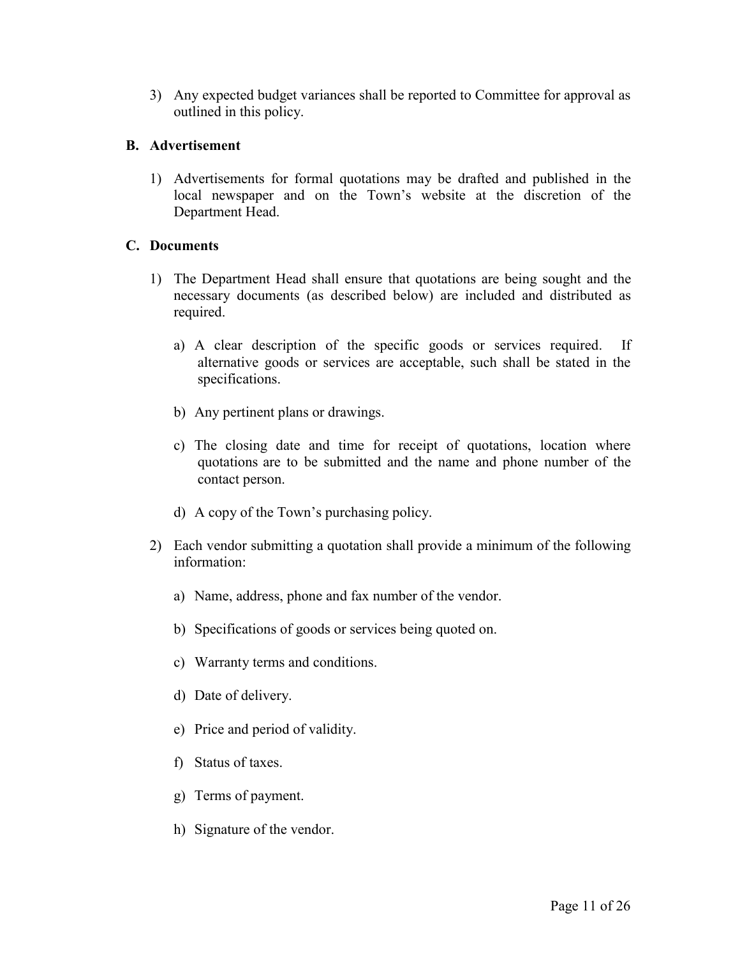3) Any expected budget variances shall be reported to Committee for approval as outlined in this policy.

# **B. Advertisement**

1) Advertisements for formal quotations may be drafted and published in the local newspaper and on the Town's website at the discretion of the Department Head.

# **C. Documents**

- 1) The Department Head shall ensure that quotations are being sought and the necessary documents (as described below) are included and distributed as required.
	- a) A clear description of the specific goods or services required. If alternative goods or services are acceptable, such shall be stated in the specifications.
	- b) Any pertinent plans or drawings.
	- c) The closing date and time for receipt of quotations, location where quotations are to be submitted and the name and phone number of the contact person.
	- d) A copy of the Town's purchasing policy.
- 2) Each vendor submitting a quotation shall provide a minimum of the following information:
	- a) Name, address, phone and fax number of the vendor.
	- b) Specifications of goods or services being quoted on.
	- c) Warranty terms and conditions.
	- d) Date of delivery.
	- e) Price and period of validity.
	- f) Status of taxes.
	- g) Terms of payment.
	- h) Signature of the vendor.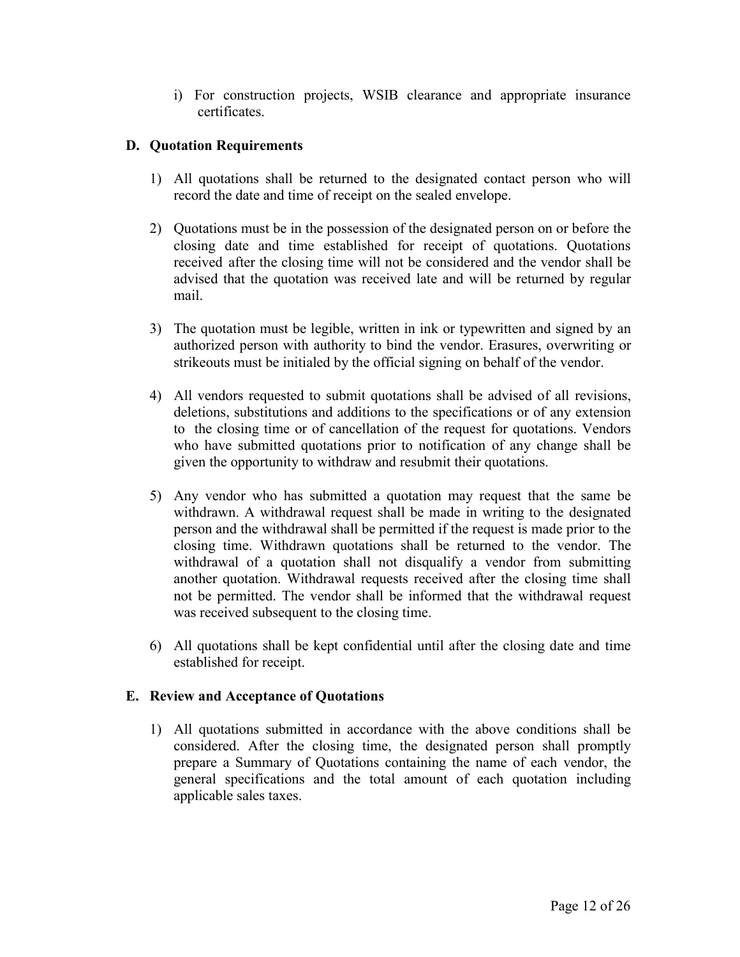i) For construction projects, WSIB clearance and appropriate insurance certificates.

# **D. Quotation Requirements**

- 1) All quotations shall be returned to the designated contact person who will record the date and time of receipt on the sealed envelope.
- 2) Quotations must be in the possession of the designated person on or before the closing date and time established for receipt of quotations. Quotations received after the closing time will not be considered and the vendor shall be advised that the quotation was received late and will be returned by regular mail.
- 3) The quotation must be legible, written in ink or typewritten and signed by an authorized person with authority to bind the vendor. Erasures, overwriting or strikeouts must be initialed by the official signing on behalf of the vendor.
- 4) All vendors requested to submit quotations shall be advised of all revisions, deletions, substitutions and additions to the specifications or of any extension to the closing time or of cancellation of the request for quotations. Vendors who have submitted quotations prior to notification of any change shall be given the opportunity to withdraw and resubmit their quotations.
- 5) Any vendor who has submitted a quotation may request that the same be withdrawn. A withdrawal request shall be made in writing to the designated person and the withdrawal shall be permitted if the request is made prior to the closing time. Withdrawn quotations shall be returned to the vendor. The withdrawal of a quotation shall not disqualify a vendor from submitting another quotation. Withdrawal requests received after the closing time shall not be permitted. The vendor shall be informed that the withdrawal request was received subsequent to the closing time.
- 6) All quotations shall be kept confidential until after the closing date and time established for receipt.

# **E. Review and Acceptance of Quotations**

1) All quotations submitted in accordance with the above conditions shall be considered. After the closing time, the designated person shall promptly prepare a Summary of Quotations containing the name of each vendor, the general specifications and the total amount of each quotation including applicable sales taxes.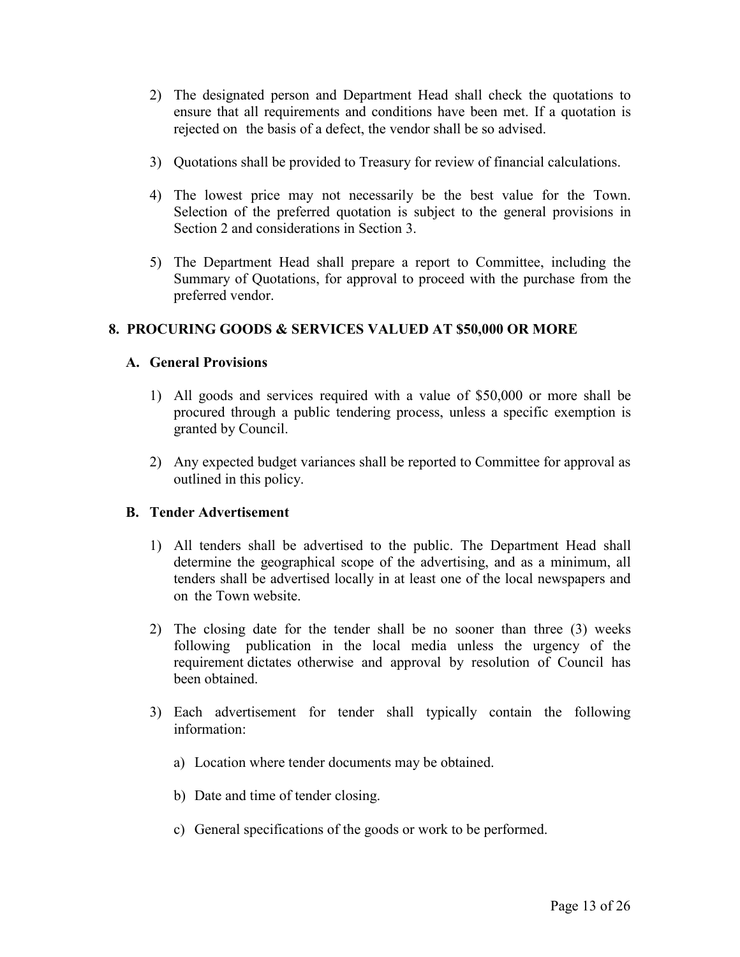- 2) The designated person and Department Head shall check the quotations to ensure that all requirements and conditions have been met. If a quotation is rejected on the basis of a defect, the vendor shall be so advised.
- 3) Quotations shall be provided to Treasury for review of financial calculations.
- 4) The lowest price may not necessarily be the best value for the Town. Selection of the preferred quotation is subject to the general provisions in Section 2 and considerations in Section 3.
- 5) The Department Head shall prepare a report to Committee, including the Summary of Quotations, for approval to proceed with the purchase from the preferred vendor.

# **8. PROCURING GOODS & SERVICES VALUED AT \$50,000 OR MORE**

# **A. General Provisions**

- 1) All goods and services required with a value of \$50,000 or more shall be procured through a public tendering process, unless a specific exemption is granted by Council.
- 2) Any expected budget variances shall be reported to Committee for approval as outlined in this policy.

# **B. Tender Advertisement**

- 1) All tenders shall be advertised to the public. The Department Head shall determine the geographical scope of the advertising, and as a minimum, all tenders shall be advertised locally in at least one of the local newspapers and on the Town website.
- 2) The closing date for the tender shall be no sooner than three (3) weeks following publication in the local media unless the urgency of the requirement dictates otherwise and approval by resolution of Council has been obtained.
- 3) Each advertisement for tender shall typically contain the following information:
	- a) Location where tender documents may be obtained.
	- b) Date and time of tender closing.
	- c) General specifications of the goods or work to be performed.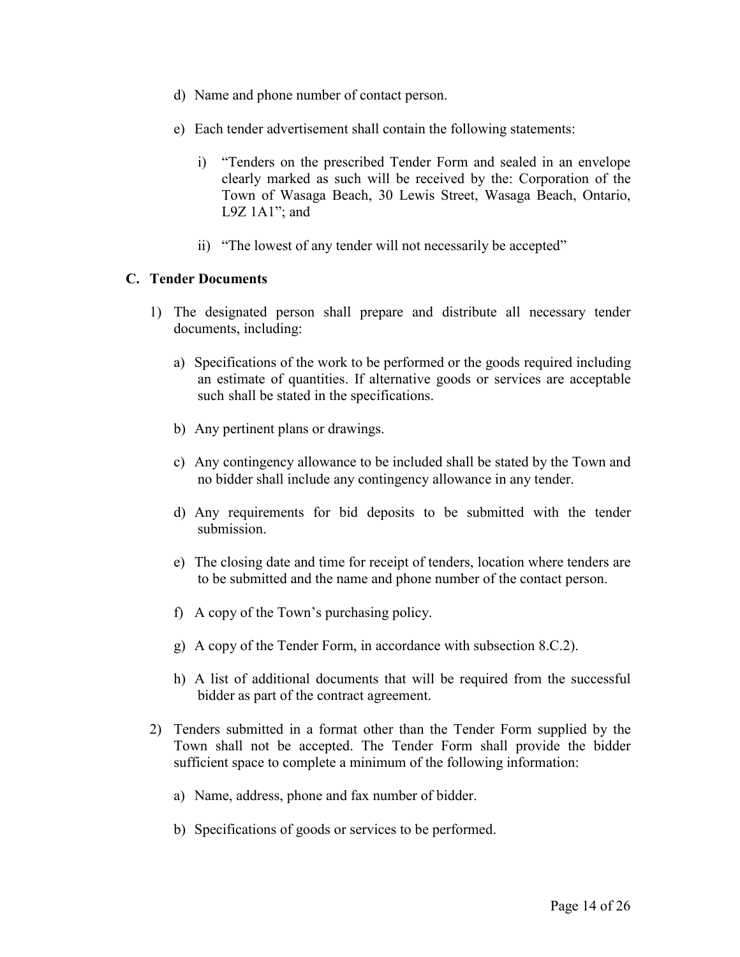- d) Name and phone number of contact person.
- e) Each tender advertisement shall contain the following statements:
	- i) "Tenders on the prescribed Tender Form and sealed in an envelope clearly marked as such will be received by the: Corporation of the Town of Wasaga Beach, 30 Lewis Street, Wasaga Beach, Ontario, L9Z  $1A1$ "; and
	- ii) "The lowest of any tender will not necessarily be accepted"

# **C. Tender Documents**

- 1) The designated person shall prepare and distribute all necessary tender documents, including:
	- a) Specifications of the work to be performed or the goods required including an estimate of quantities. If alternative goods or services are acceptable such shall be stated in the specifications.
	- b) Any pertinent plans or drawings.
	- c) Any contingency allowance to be included shall be stated by the Town and no bidder shall include any contingency allowance in any tender.
	- d) Any requirements for bid deposits to be submitted with the tender submission.
	- e) The closing date and time for receipt of tenders, location where tenders are to be submitted and the name and phone number of the contact person.
	- f) A copy of the Town's purchasing policy.
	- g) A copy of the Tender Form, in accordance with subsection 8.C.2).
	- h) A list of additional documents that will be required from the successful bidder as part of the contract agreement.
- 2) Tenders submitted in a format other than the Tender Form supplied by the Town shall not be accepted. The Tender Form shall provide the bidder sufficient space to complete a minimum of the following information:
	- a) Name, address, phone and fax number of bidder.
	- b) Specifications of goods or services to be performed.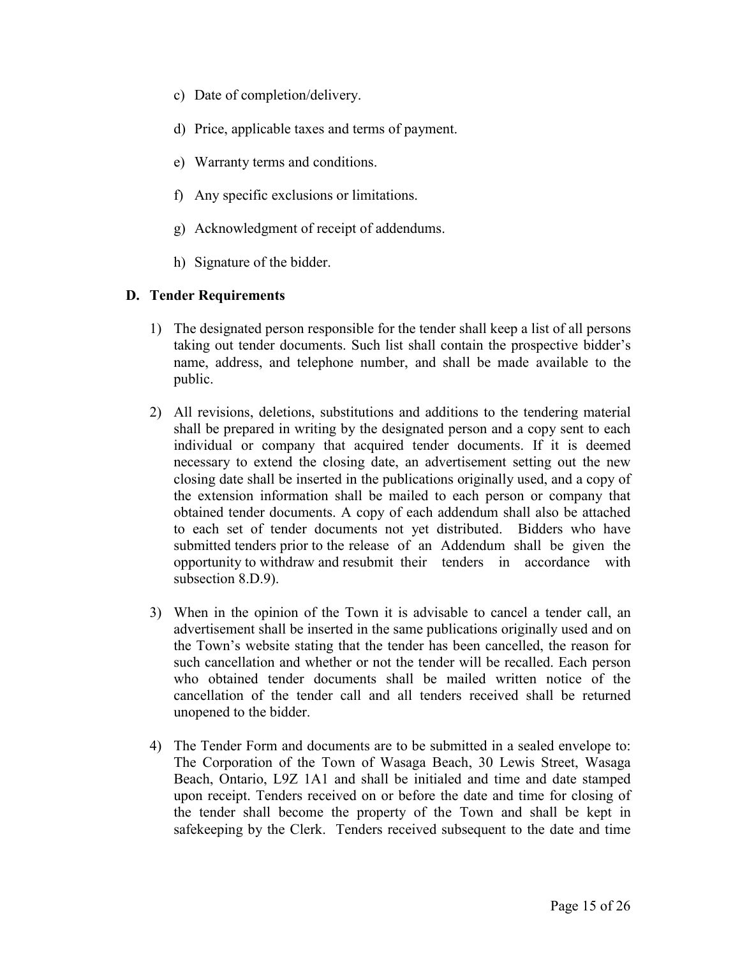- c) Date of completion/delivery.
- d) Price, applicable taxes and terms of payment.
- e) Warranty terms and conditions.
- f) Any specific exclusions or limitations.
- g) Acknowledgment of receipt of addendums.
- h) Signature of the bidder.

# **D. Tender Requirements**

- 1) The designated person responsible for the tender shall keep a list of all persons taking out tender documents. Such list shall contain the prospective bidder's name, address, and telephone number, and shall be made available to the public.
- 2) All revisions, deletions, substitutions and additions to the tendering material shall be prepared in writing by the designated person and a copy sent to each individual or company that acquired tender documents. If it is deemed necessary to extend the closing date, an advertisement setting out the new closing date shall be inserted in the publications originally used, and a copy of the extension information shall be mailed to each person or company that obtained tender documents. A copy of each addendum shall also be attached to each set of tender documents not yet distributed. Bidders who have submitted tenders prior to the release of an Addendum shall be given the opportunity to withdraw and resubmit their tenders in accordance with subsection 8.D.9).
- 3) When in the opinion of the Town it is advisable to cancel a tender call, an advertisement shall be inserted in the same publications originally used and on the Town's website stating that the tender has been cancelled, the reason for such cancellation and whether or not the tender will be recalled. Each person who obtained tender documents shall be mailed written notice of the cancellation of the tender call and all tenders received shall be returned unopened to the bidder.
- 4) The Tender Form and documents are to be submitted in a sealed envelope to: The Corporation of the Town of Wasaga Beach, 30 Lewis Street, Wasaga Beach, Ontario, L9Z 1A1 and shall be initialed and time and date stamped upon receipt. Tenders received on or before the date and time for closing of the tender shall become the property of the Town and shall be kept in safekeeping by the Clerk. Tenders received subsequent to the date and time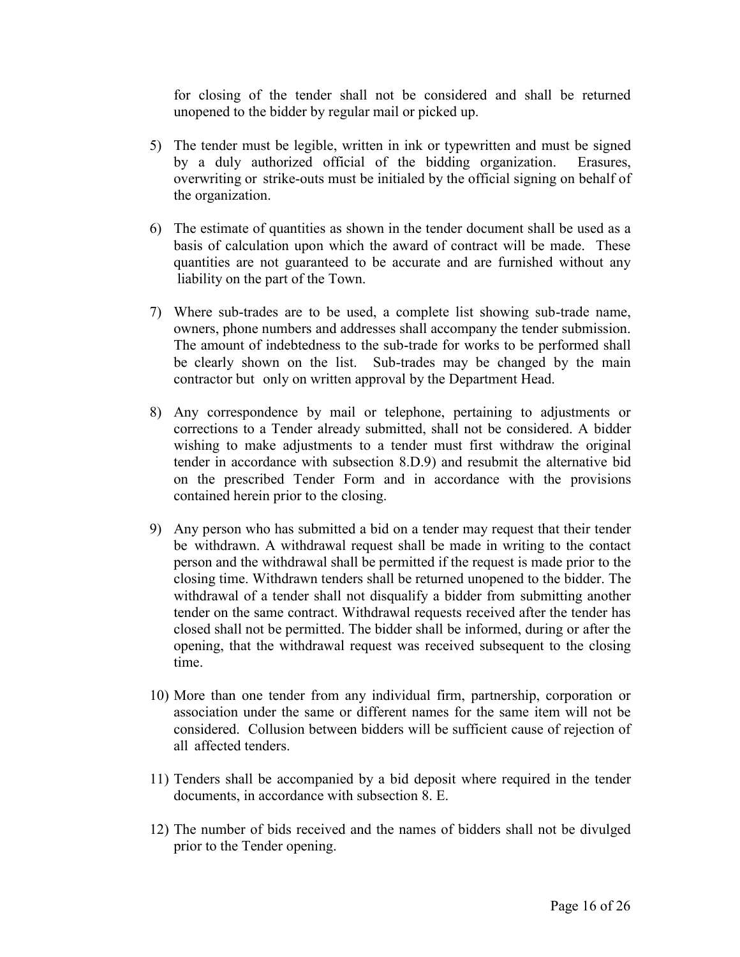for closing of the tender shall not be considered and shall be returned unopened to the bidder by regular mail or picked up.

- 5) The tender must be legible, written in ink or typewritten and must be signed by a duly authorized official of the bidding organization. Erasures, overwriting or strike-outs must be initialed by the official signing on behalf of the organization.
- 6) The estimate of quantities as shown in the tender document shall be used as a basis of calculation upon which the award of contract will be made. These quantities are not guaranteed to be accurate and are furnished without any liability on the part of the Town.
- 7) Where sub-trades are to be used, a complete list showing sub-trade name, owners, phone numbers and addresses shall accompany the tender submission. The amount of indebtedness to the sub-trade for works to be performed shall be clearly shown on the list. Sub-trades may be changed by the main contractor but only on written approval by the Department Head.
- 8) Any correspondence by mail or telephone, pertaining to adjustments or corrections to a Tender already submitted, shall not be considered. A bidder wishing to make adjustments to a tender must first withdraw the original tender in accordance with subsection 8.D.9) and resubmit the alternative bid on the prescribed Tender Form and in accordance with the provisions contained herein prior to the closing.
- 9) Any person who has submitted a bid on a tender may request that their tender be withdrawn. A withdrawal request shall be made in writing to the contact person and the withdrawal shall be permitted if the request is made prior to the closing time. Withdrawn tenders shall be returned unopened to the bidder. The withdrawal of a tender shall not disqualify a bidder from submitting another tender on the same contract. Withdrawal requests received after the tender has closed shall not be permitted. The bidder shall be informed, during or after the opening, that the withdrawal request was received subsequent to the closing time.
- 10) More than one tender from any individual firm, partnership, corporation or association under the same or different names for the same item will not be considered. Collusion between bidders will be sufficient cause of rejection of all affected tenders.
- 11) Tenders shall be accompanied by a bid deposit where required in the tender documents, in accordance with subsection 8. E.
- 12) The number of bids received and the names of bidders shall not be divulged prior to the Tender opening.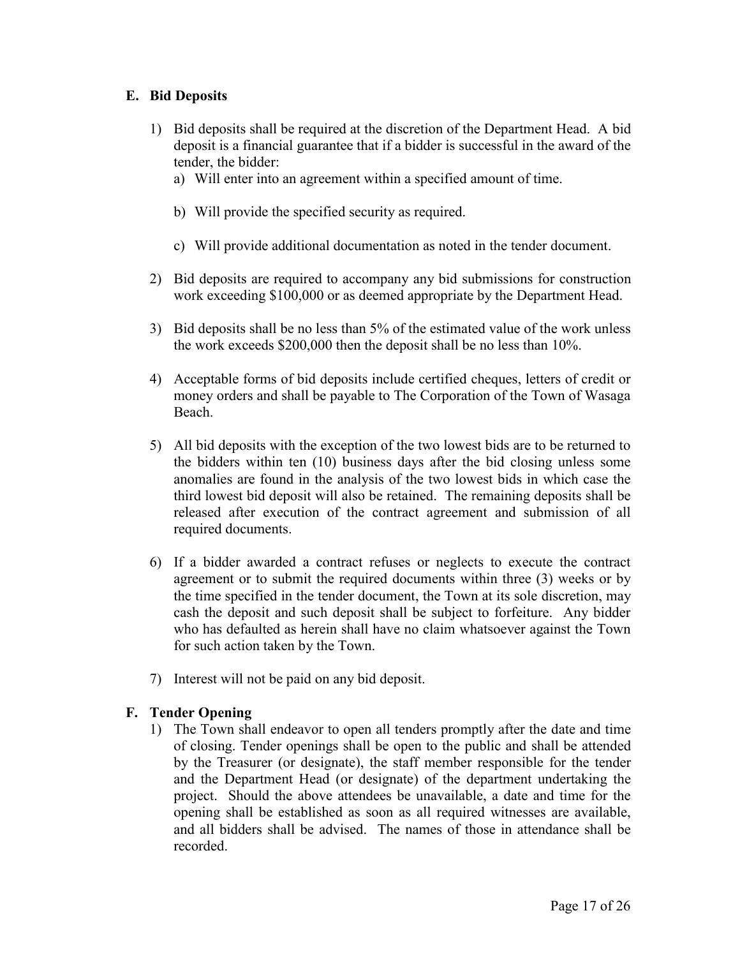# **E. Bid Deposits**

- 1) Bid deposits shall be required at the discretion of the Department Head. A bid deposit is a financial guarantee that if a bidder is successful in the award of the tender, the bidder:
	- a) Will enter into an agreement within a specified amount of time.
	- b) Will provide the specified security as required.
	- c) Will provide additional documentation as noted in the tender document.
- 2) Bid deposits are required to accompany any bid submissions for construction work exceeding \$100,000 or as deemed appropriate by the Department Head.
- 3) Bid deposits shall be no less than 5% of the estimated value of the work unless the work exceeds \$200,000 then the deposit shall be no less than 10%.
- 4) Acceptable forms of bid deposits include certified cheques, letters of credit or money orders and shall be payable to The Corporation of the Town of Wasaga Beach.
- 5) All bid deposits with the exception of the two lowest bids are to be returned to the bidders within ten (10) business days after the bid closing unless some anomalies are found in the analysis of the two lowest bids in which case the third lowest bid deposit will also be retained. The remaining deposits shall be released after execution of the contract agreement and submission of all required documents.
- 6) If a bidder awarded a contract refuses or neglects to execute the contract agreement or to submit the required documents within three (3) weeks or by the time specified in the tender document, the Town at its sole discretion, may cash the deposit and such deposit shall be subject to forfeiture. Any bidder who has defaulted as herein shall have no claim whatsoever against the Town for such action taken by the Town.
- 7) Interest will not be paid on any bid deposit.

# **F. Tender Opening**

1) The Town shall endeavor to open all tenders promptly after the date and time of closing. Tender openings shall be open to the public and shall be attended by the Treasurer (or designate), the staff member responsible for the tender and the Department Head (or designate) of the department undertaking the project. Should the above attendees be unavailable, a date and time for the opening shall be established as soon as all required witnesses are available, and all bidders shall be advised. The names of those in attendance shall be recorded.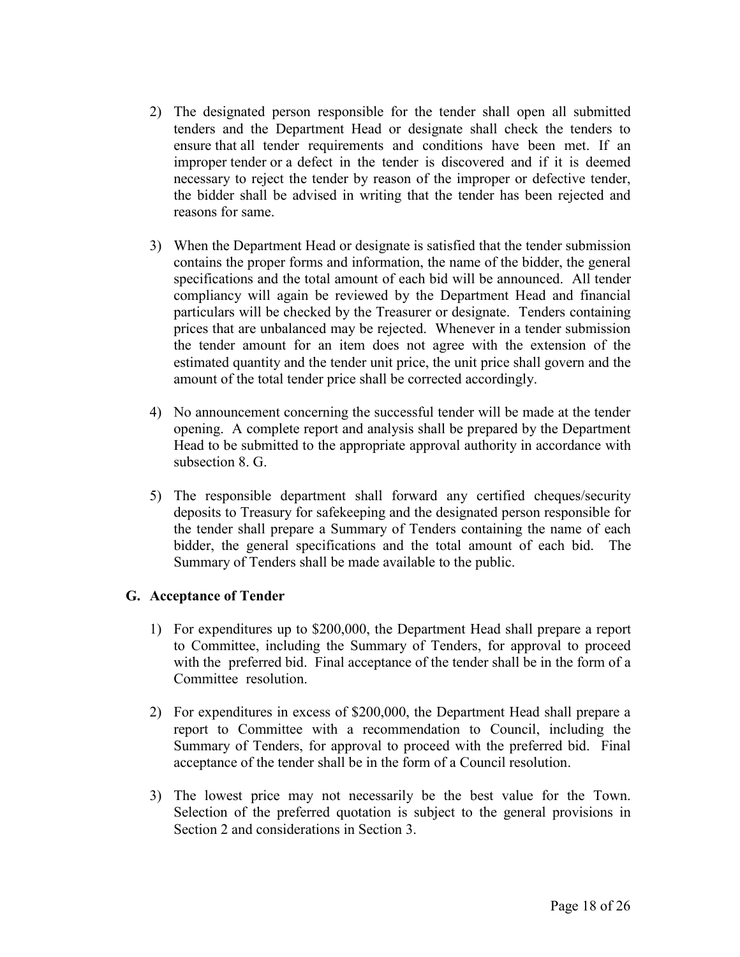- 2) The designated person responsible for the tender shall open all submitted tenders and the Department Head or designate shall check the tenders to ensure that all tender requirements and conditions have been met. If an improper tender or a defect in the tender is discovered and if it is deemed necessary to reject the tender by reason of the improper or defective tender, the bidder shall be advised in writing that the tender has been rejected and reasons for same.
- 3) When the Department Head or designate is satisfied that the tender submission contains the proper forms and information, the name of the bidder, the general specifications and the total amount of each bid will be announced. All tender compliancy will again be reviewed by the Department Head and financial particulars will be checked by the Treasurer or designate. Tenders containing prices that are unbalanced may be rejected. Whenever in a tender submission the tender amount for an item does not agree with the extension of the estimated quantity and the tender unit price, the unit price shall govern and the amount of the total tender price shall be corrected accordingly.
- 4) No announcement concerning the successful tender will be made at the tender opening. A complete report and analysis shall be prepared by the Department Head to be submitted to the appropriate approval authority in accordance with subsection 8. G.
- 5) The responsible department shall forward any certified cheques/security deposits to Treasury for safekeeping and the designated person responsible for the tender shall prepare a Summary of Tenders containing the name of each bidder, the general specifications and the total amount of each bid. The Summary of Tenders shall be made available to the public.

# **G. Acceptance of Tender**

- 1) For expenditures up to \$200,000, the Department Head shall prepare a report to Committee, including the Summary of Tenders, for approval to proceed with the preferred bid. Final acceptance of the tender shall be in the form of a Committee resolution.
- 2) For expenditures in excess of \$200,000, the Department Head shall prepare a report to Committee with a recommendation to Council, including the Summary of Tenders, for approval to proceed with the preferred bid. Final acceptance of the tender shall be in the form of a Council resolution.
- 3) The lowest price may not necessarily be the best value for the Town. Selection of the preferred quotation is subject to the general provisions in Section 2 and considerations in Section 3.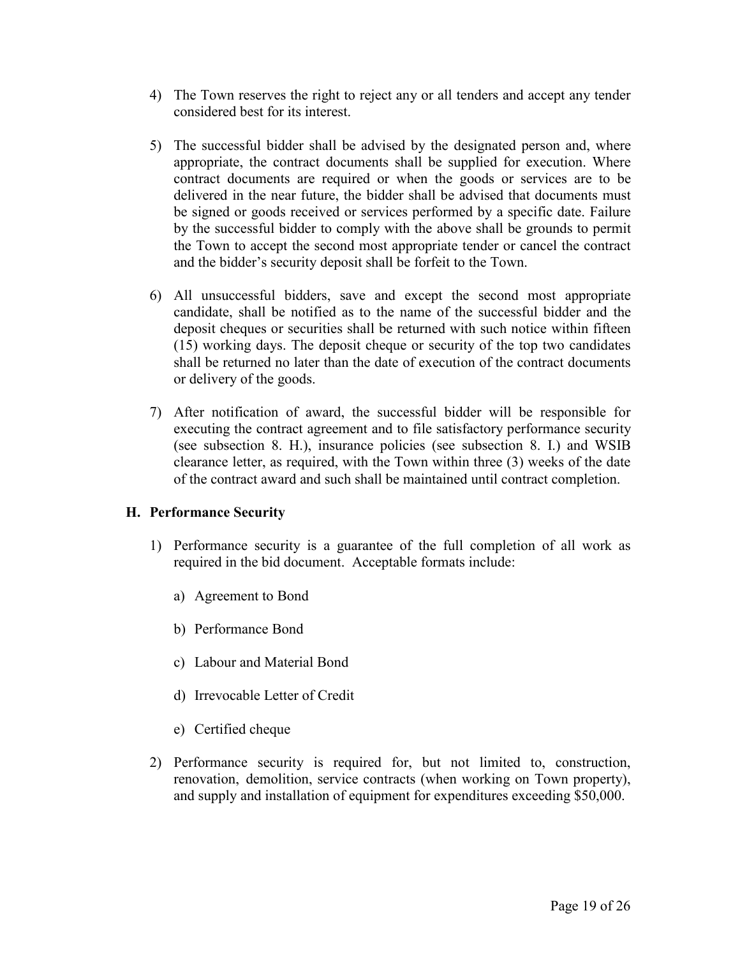- 4) The Town reserves the right to reject any or all tenders and accept any tender considered best for its interest.
- 5) The successful bidder shall be advised by the designated person and, where appropriate, the contract documents shall be supplied for execution. Where contract documents are required or when the goods or services are to be delivered in the near future, the bidder shall be advised that documents must be signed or goods received or services performed by a specific date. Failure by the successful bidder to comply with the above shall be grounds to permit the Town to accept the second most appropriate tender or cancel the contract and the bidder's security deposit shall be forfeit to the Town.
- 6) All unsuccessful bidders, save and except the second most appropriate candidate, shall be notified as to the name of the successful bidder and the deposit cheques or securities shall be returned with such notice within fifteen (15) working days. The deposit cheque or security of the top two candidates shall be returned no later than the date of execution of the contract documents or delivery of the goods.
- 7) After notification of award, the successful bidder will be responsible for executing the contract agreement and to file satisfactory performance security (see subsection 8. H.), insurance policies (see subsection 8. I.) and WSIB clearance letter, as required, with the Town within three (3) weeks of the date of the contract award and such shall be maintained until contract completion.

# **H. Performance Security**

- 1) Performance security is a guarantee of the full completion of all work as required in the bid document. Acceptable formats include:
	- a) Agreement to Bond
	- b) Performance Bond
	- c) Labour and Material Bond
	- d) Irrevocable Letter of Credit
	- e) Certified cheque
- 2) Performance security is required for, but not limited to, construction, renovation, demolition, service contracts (when working on Town property), and supply and installation of equipment for expenditures exceeding \$50,000.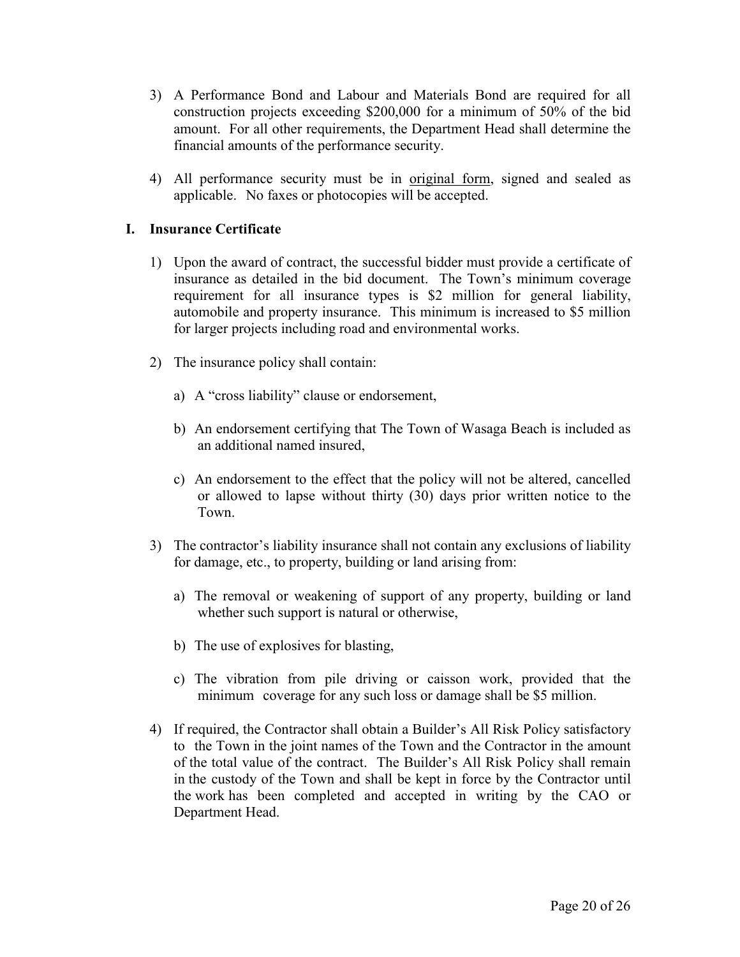- 3) A Performance Bond and Labour and Materials Bond are required for all construction projects exceeding \$200,000 for a minimum of 50% of the bid amount. For all other requirements, the Department Head shall determine the financial amounts of the performance security.
- 4) All performance security must be in original form, signed and sealed as applicable. No faxes or photocopies will be accepted.

# **I. Insurance Certificate**

- 1) Upon the award of contract, the successful bidder must provide a certificate of insurance as detailed in the bid document. The Town's minimum coverage requirement for all insurance types is \$2 million for general liability, automobile and property insurance. This minimum is increased to \$5 million for larger projects including road and environmental works.
- 2) The insurance policy shall contain:
	- a) A "cross liability" clause or endorsement,
	- b) An endorsement certifying that The Town of Wasaga Beach is included as an additional named insured,
	- c) An endorsement to the effect that the policy will not be altered, cancelled or allowed to lapse without thirty (30) days prior written notice to the Town.
- 3) The contractor's liability insurance shall not contain any exclusions of liability for damage, etc., to property, building or land arising from:
	- a) The removal or weakening of support of any property, building or land whether such support is natural or otherwise,
	- b) The use of explosives for blasting,
	- c) The vibration from pile driving or caisson work, provided that the minimum coverage for any such loss or damage shall be \$5 million.
- 4) If required, the Contractor shall obtain a Builder's All Risk Policy satisfactory to the Town in the joint names of the Town and the Contractor in the amount of the total value of the contract. The Builder's All Risk Policy shall remain in the custody of the Town and shall be kept in force by the Contractor until the work has been completed and accepted in writing by the CAO or Department Head.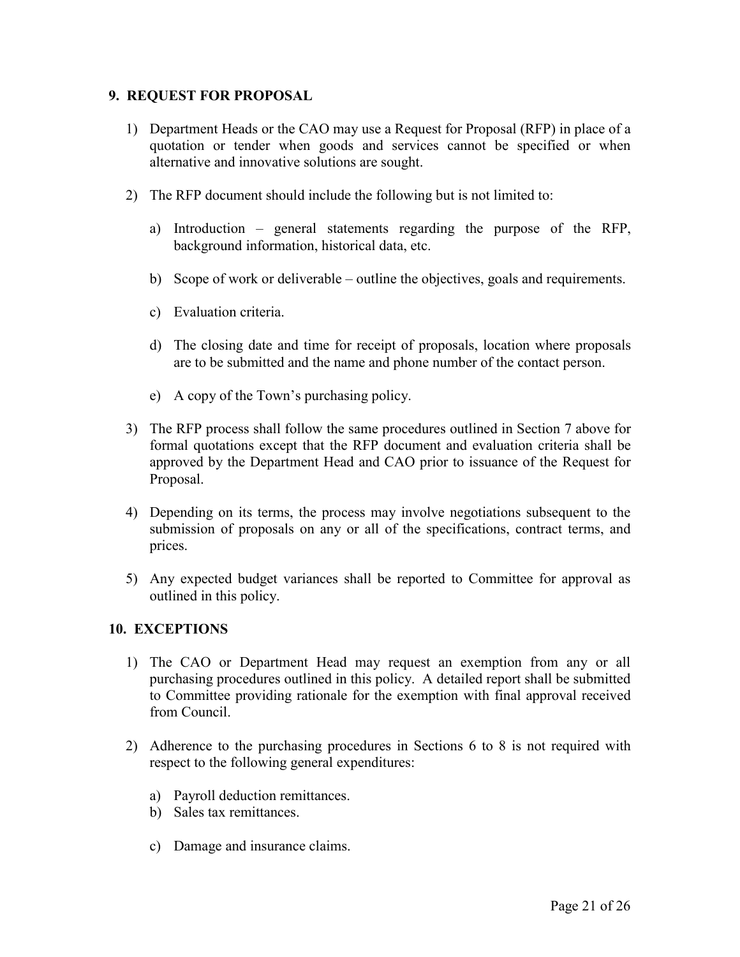## **9. REQUEST FOR PROPOSAL**

- 1) Department Heads or the CAO may use a Request for Proposal (RFP) in place of a quotation or tender when goods and services cannot be specified or when alternative and innovative solutions are sought.
- 2) The RFP document should include the following but is not limited to:
	- a) Introduction general statements regarding the purpose of the RFP, background information, historical data, etc.
	- b) Scope of work or deliverable outline the objectives, goals and requirements.
	- c) Evaluation criteria.
	- d) The closing date and time for receipt of proposals, location where proposals are to be submitted and the name and phone number of the contact person.
	- e) A copy of the Town's purchasing policy.
- 3) The RFP process shall follow the same procedures outlined in Section 7 above for formal quotations except that the RFP document and evaluation criteria shall be approved by the Department Head and CAO prior to issuance of the Request for Proposal.
- 4) Depending on its terms, the process may involve negotiations subsequent to the submission of proposals on any or all of the specifications, contract terms, and prices.
- 5) Any expected budget variances shall be reported to Committee for approval as outlined in this policy.

#### **10. EXCEPTIONS**

- 1) The CAO or Department Head may request an exemption from any or all purchasing procedures outlined in this policy. A detailed report shall be submitted to Committee providing rationale for the exemption with final approval received from Council.
- 2) Adherence to the purchasing procedures in Sections 6 to 8 is not required with respect to the following general expenditures:
	- a) Payroll deduction remittances.
	- b) Sales tax remittances.
	- c) Damage and insurance claims.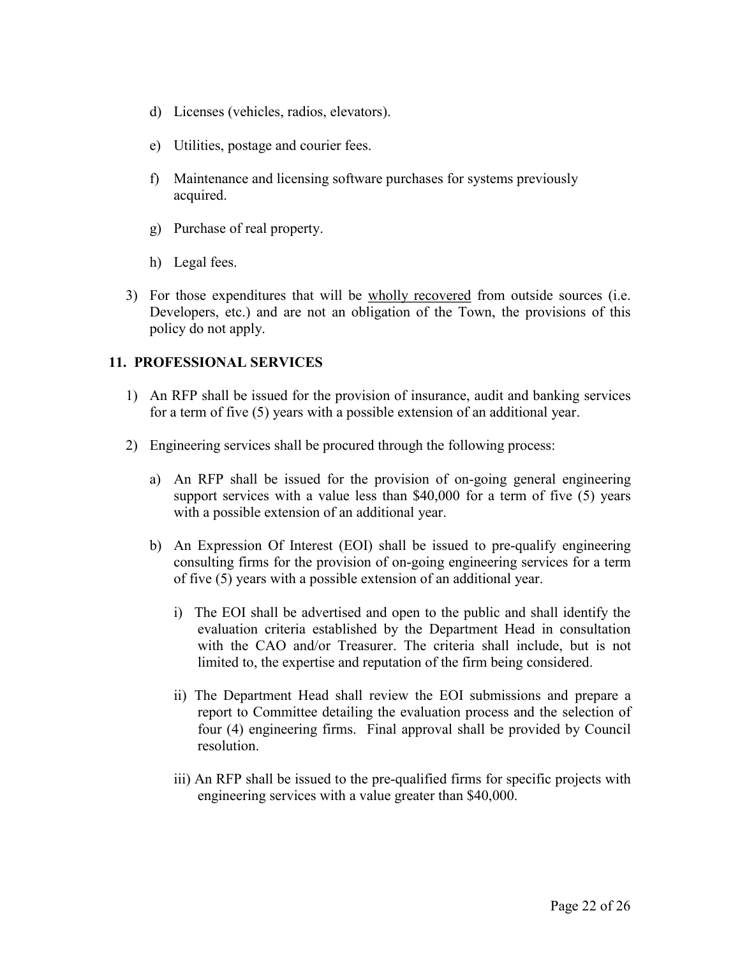- d) Licenses (vehicles, radios, elevators).
- e) Utilities, postage and courier fees.
- f) Maintenance and licensing software purchases for systems previously acquired.
- g) Purchase of real property.
- h) Legal fees.
- 3) For those expenditures that will be wholly recovered from outside sources (i.e. Developers, etc.) and are not an obligation of the Town, the provisions of this policy do not apply.

#### **11. PROFESSIONAL SERVICES**

- 1) An RFP shall be issued for the provision of insurance, audit and banking services for a term of five (5) years with a possible extension of an additional year.
- 2) Engineering services shall be procured through the following process:
	- a) An RFP shall be issued for the provision of on-going general engineering support services with a value less than \$40,000 for a term of five (5) years with a possible extension of an additional year.
	- b) An Expression Of Interest (EOI) shall be issued to pre-qualify engineering consulting firms for the provision of on-going engineering services for a term of five (5) years with a possible extension of an additional year.
		- i) The EOI shall be advertised and open to the public and shall identify the evaluation criteria established by the Department Head in consultation with the CAO and/or Treasurer. The criteria shall include, but is not limited to, the expertise and reputation of the firm being considered.
		- ii) The Department Head shall review the EOI submissions and prepare a report to Committee detailing the evaluation process and the selection of four (4) engineering firms. Final approval shall be provided by Council resolution.
		- iii) An RFP shall be issued to the pre-qualified firms for specific projects with engineering services with a value greater than \$40,000.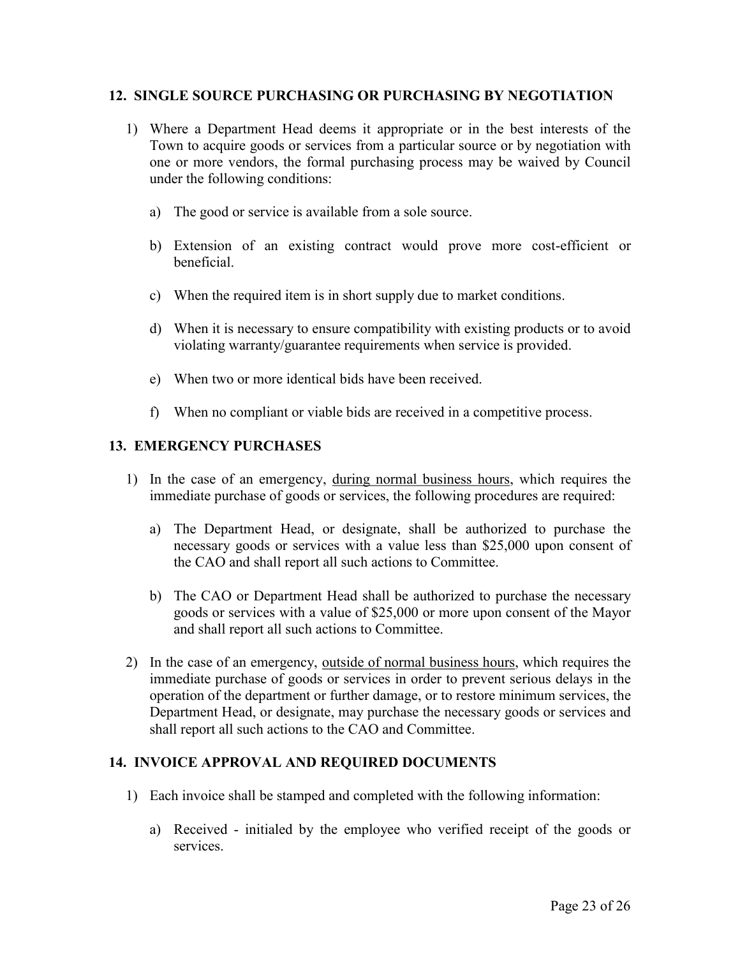## **12. SINGLE SOURCE PURCHASING OR PURCHASING BY NEGOTIATION**

- 1) Where a Department Head deems it appropriate or in the best interests of the Town to acquire goods or services from a particular source or by negotiation with one or more vendors, the formal purchasing process may be waived by Council under the following conditions:
	- a) The good or service is available from a sole source.
	- b) Extension of an existing contract would prove more cost-efficient or beneficial.
	- c) When the required item is in short supply due to market conditions.
	- d) When it is necessary to ensure compatibility with existing products or to avoid violating warranty/guarantee requirements when service is provided.
	- e) When two or more identical bids have been received.
	- f) When no compliant or viable bids are received in a competitive process.

# **13. EMERGENCY PURCHASES**

- 1) In the case of an emergency, during normal business hours, which requires the immediate purchase of goods or services, the following procedures are required:
	- a) The Department Head, or designate, shall be authorized to purchase the necessary goods or services with a value less than \$25,000 upon consent of the CAO and shall report all such actions to Committee.
	- b) The CAO or Department Head shall be authorized to purchase the necessary goods or services with a value of \$25,000 or more upon consent of the Mayor and shall report all such actions to Committee.
- 2) In the case of an emergency, outside of normal business hours, which requires the immediate purchase of goods or services in order to prevent serious delays in the operation of the department or further damage, or to restore minimum services, the Department Head, or designate, may purchase the necessary goods or services and shall report all such actions to the CAO and Committee.

#### **14. INVOICE APPROVAL AND REQUIRED DOCUMENTS**

- 1) Each invoice shall be stamped and completed with the following information:
	- a) Received initialed by the employee who verified receipt of the goods or services.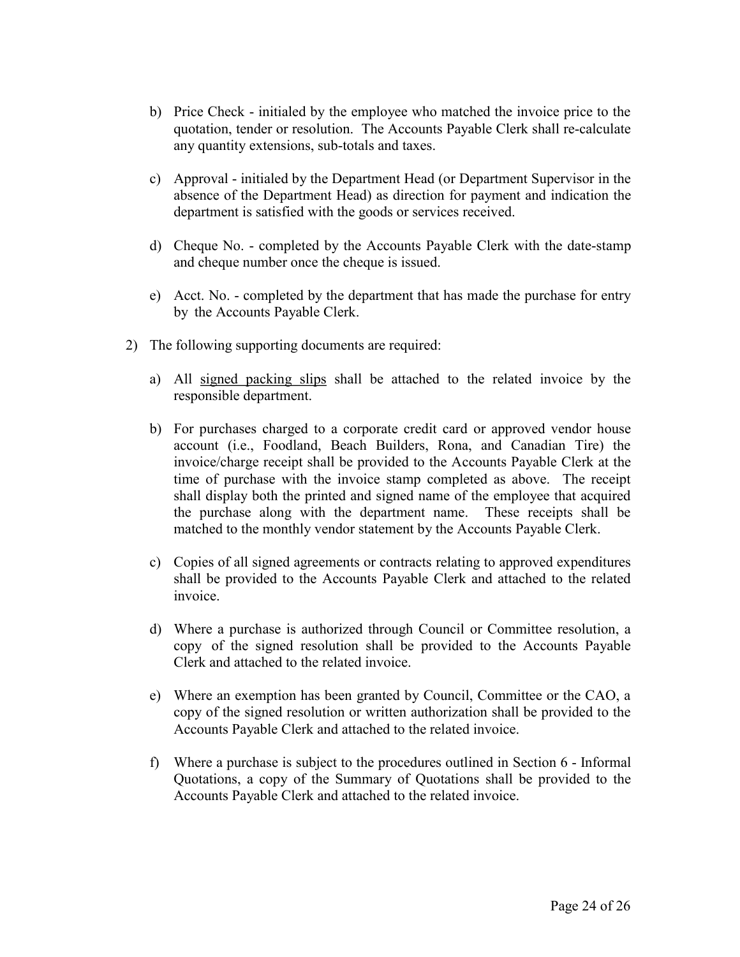- b) Price Check initialed by the employee who matched the invoice price to the quotation, tender or resolution. The Accounts Payable Clerk shall re-calculate any quantity extensions, sub-totals and taxes.
- c) Approval initialed by the Department Head (or Department Supervisor in the absence of the Department Head) as direction for payment and indication the department is satisfied with the goods or services received.
- d) Cheque No. completed by the Accounts Payable Clerk with the date-stamp and cheque number once the cheque is issued.
- e) Acct. No. completed by the department that has made the purchase for entry by the Accounts Payable Clerk.
- 2) The following supporting documents are required:
	- a) All signed packing slips shall be attached to the related invoice by the responsible department.
	- b) For purchases charged to a corporate credit card or approved vendor house account (i.e., Foodland, Beach Builders, Rona, and Canadian Tire) the invoice/charge receipt shall be provided to the Accounts Payable Clerk at the time of purchase with the invoice stamp completed as above. The receipt shall display both the printed and signed name of the employee that acquired the purchase along with the department name. These receipts shall be matched to the monthly vendor statement by the Accounts Payable Clerk.
	- c) Copies of all signed agreements or contracts relating to approved expenditures shall be provided to the Accounts Payable Clerk and attached to the related invoice.
	- d) Where a purchase is authorized through Council or Committee resolution, a copy of the signed resolution shall be provided to the Accounts Payable Clerk and attached to the related invoice.
	- e) Where an exemption has been granted by Council, Committee or the CAO, a copy of the signed resolution or written authorization shall be provided to the Accounts Payable Clerk and attached to the related invoice.
	- f) Where a purchase is subject to the procedures outlined in Section 6 Informal Quotations, a copy of the Summary of Quotations shall be provided to the Accounts Payable Clerk and attached to the related invoice.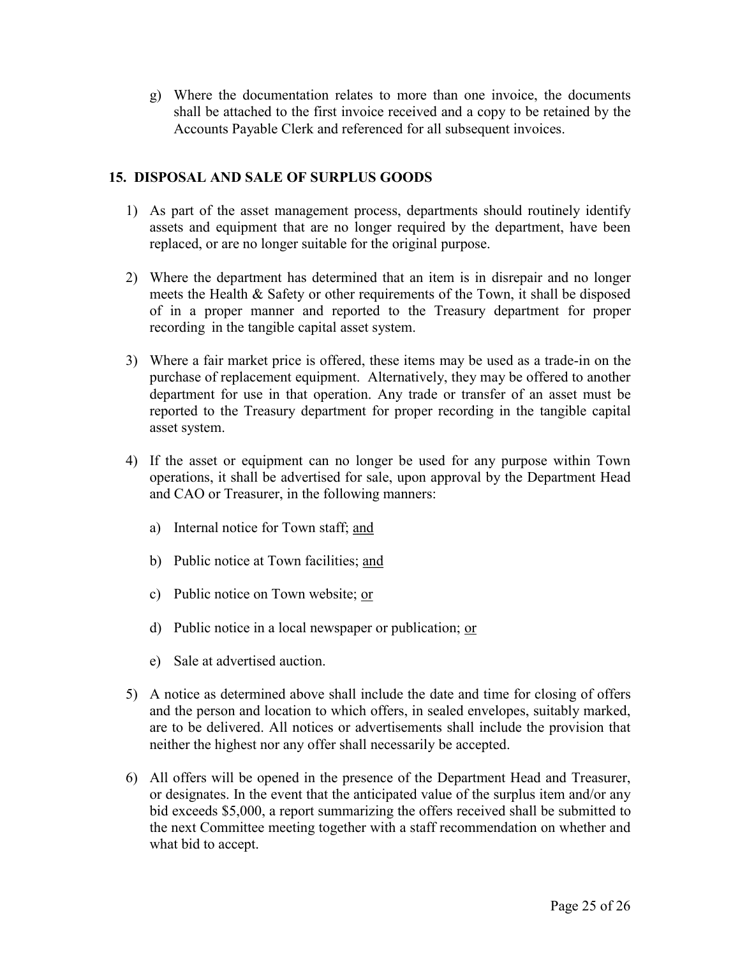g) Where the documentation relates to more than one invoice, the documents shall be attached to the first invoice received and a copy to be retained by the Accounts Payable Clerk and referenced for all subsequent invoices.

# **15. DISPOSAL AND SALE OF SURPLUS GOODS**

- 1) As part of the asset management process, departments should routinely identify assets and equipment that are no longer required by the department, have been replaced, or are no longer suitable for the original purpose.
- 2) Where the department has determined that an item is in disrepair and no longer meets the Health & Safety or other requirements of the Town, it shall be disposed of in a proper manner and reported to the Treasury department for proper recording in the tangible capital asset system.
- 3) Where a fair market price is offered, these items may be used as a trade-in on the purchase of replacement equipment. Alternatively, they may be offered to another department for use in that operation. Any trade or transfer of an asset must be reported to the Treasury department for proper recording in the tangible capital asset system.
- 4) If the asset or equipment can no longer be used for any purpose within Town operations, it shall be advertised for sale, upon approval by the Department Head and CAO or Treasurer, in the following manners:
	- a) Internal notice for Town staff; and
	- b) Public notice at Town facilities; and
	- c) Public notice on Town website; or
	- d) Public notice in a local newspaper or publication; or
	- e) Sale at advertised auction.
- 5) A notice as determined above shall include the date and time for closing of offers and the person and location to which offers, in sealed envelopes, suitably marked, are to be delivered. All notices or advertisements shall include the provision that neither the highest nor any offer shall necessarily be accepted.
- 6) All offers will be opened in the presence of the Department Head and Treasurer, or designates. In the event that the anticipated value of the surplus item and/or any bid exceeds \$5,000, a report summarizing the offers received shall be submitted to the next Committee meeting together with a staff recommendation on whether and what bid to accept.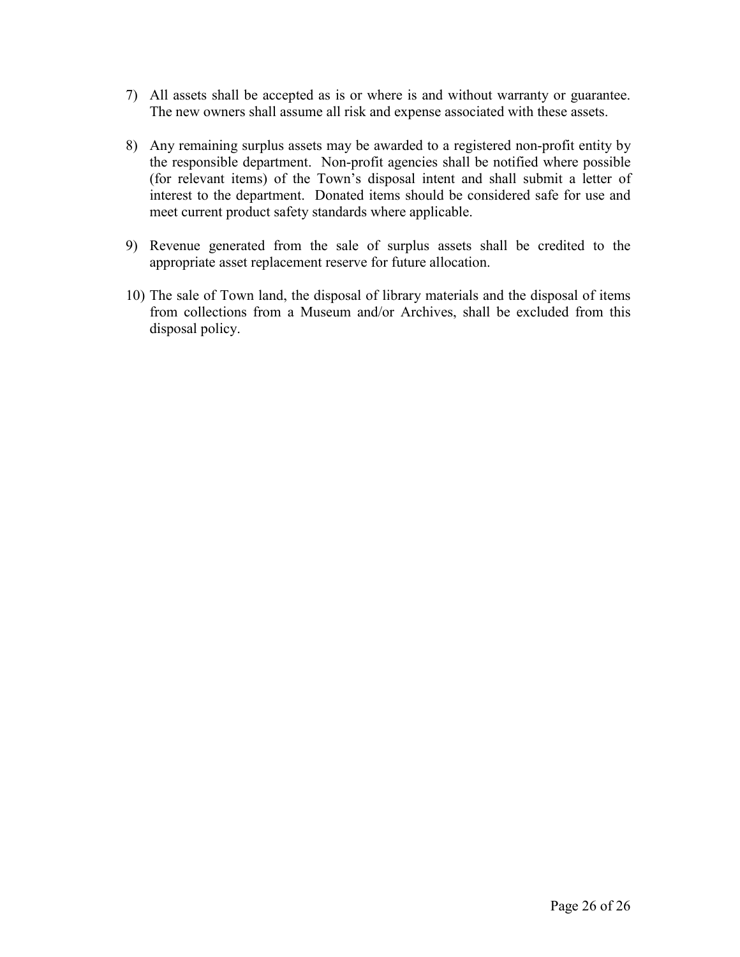- 7) All assets shall be accepted as is or where is and without warranty or guarantee. The new owners shall assume all risk and expense associated with these assets.
- 8) Any remaining surplus assets may be awarded to a registered non-profit entity by the responsible department. Non-profit agencies shall be notified where possible (for relevant items) of the Town's disposal intent and shall submit a letter of interest to the department. Donated items should be considered safe for use and meet current product safety standards where applicable.
- 9) Revenue generated from the sale of surplus assets shall be credited to the appropriate asset replacement reserve for future allocation.
- 10) The sale of Town land, the disposal of library materials and the disposal of items from collections from a Museum and/or Archives, shall be excluded from this disposal policy.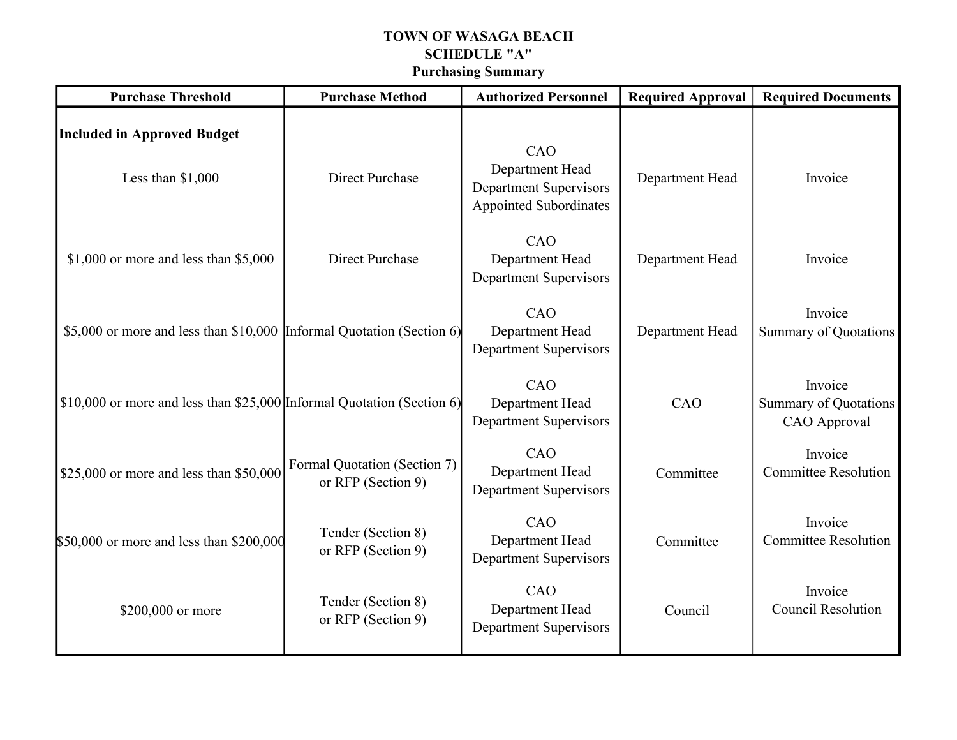# **TOWN OF WASAGA BEACH SCHEDULE "A" Purchasing Summary**

| <b>Purchase Threshold</b>                                              | <b>Purchase Method</b>                             | <b>Authorized Personnel</b>                                                              | <b>Required Approval</b> | <b>Required Documents</b>                               |
|------------------------------------------------------------------------|----------------------------------------------------|------------------------------------------------------------------------------------------|--------------------------|---------------------------------------------------------|
| <b>Included in Approved Budget</b><br>Less than $$1,000$               | <b>Direct Purchase</b>                             | CAO<br>Department Head<br><b>Department Supervisors</b><br><b>Appointed Subordinates</b> | Department Head          | Invoice                                                 |
| $$1,000$ or more and less than $$5,000$                                | <b>Direct Purchase</b>                             | CAO<br>Department Head<br><b>Department Supervisors</b>                                  | Department Head          | Invoice                                                 |
| \$5,000 or more and less than \$10,000 Informal Quotation (Section 6)  |                                                    | CAO<br>Department Head<br><b>Department Supervisors</b>                                  | Department Head          | Invoice<br><b>Summary of Quotations</b>                 |
| \$10,000 or more and less than \$25,000 Informal Quotation (Section 6) |                                                    | CAO<br>Department Head<br><b>Department Supervisors</b>                                  | CAO                      | Invoice<br><b>Summary of Quotations</b><br>CAO Approval |
| \$25,000 or more and less than \$50,000                                | Formal Quotation (Section 7)<br>or RFP (Section 9) | CAO<br>Department Head<br><b>Department Supervisors</b>                                  | Committee                | Invoice<br><b>Committee Resolution</b>                  |
| \$50,000 or more and less than \$200,000                               | Tender (Section 8)<br>or RFP (Section 9)           | CAO<br>Department Head<br><b>Department Supervisors</b>                                  | Committee                | Invoice<br><b>Committee Resolution</b>                  |
| \$200,000 or more                                                      | Tender (Section 8)<br>or RFP (Section 9)           | CAO<br>Department Head<br><b>Department Supervisors</b>                                  | Council                  | Invoice<br><b>Council Resolution</b>                    |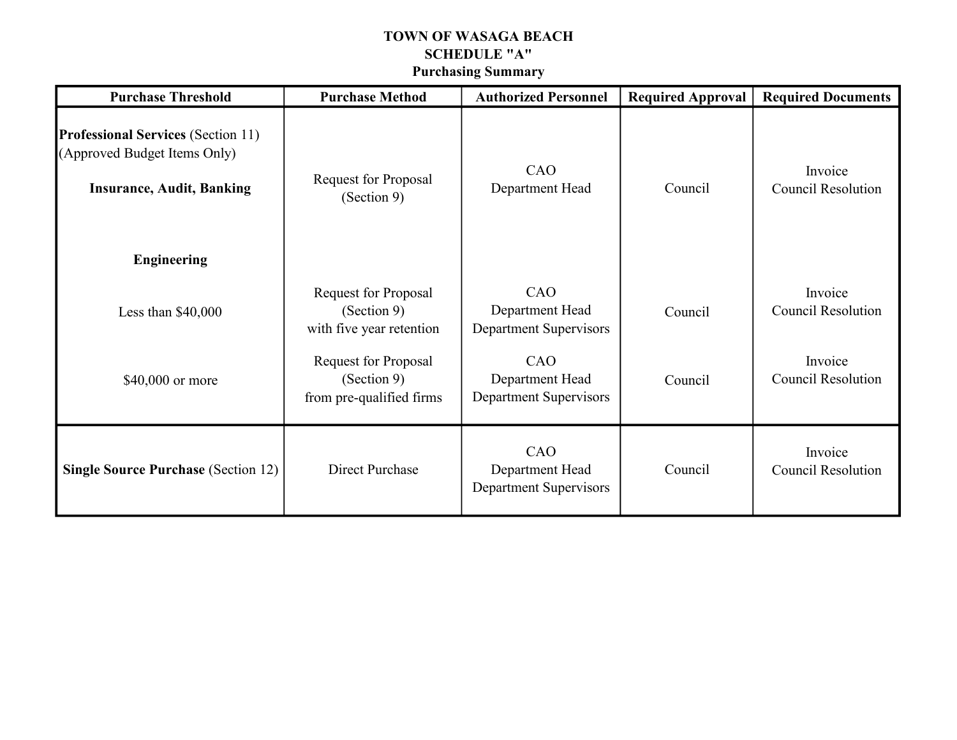# **TOWN OF WASAGA BEACH SCHEDULE "A" Purchasing Summary**

| <b>Purchase Threshold</b>                                                                                                           | <b>Purchase Method</b>                                                 | <b>Authorized Personnel</b>                      | <b>Required Approval</b> | <b>Required Documents</b>            |  |
|-------------------------------------------------------------------------------------------------------------------------------------|------------------------------------------------------------------------|--------------------------------------------------|--------------------------|--------------------------------------|--|
| <b>Professional Services (Section 11)</b><br>(Approved Budget Items Only)<br><b>Insurance, Audit, Banking</b><br><b>Engineering</b> | <b>Request for Proposal</b><br>(Section 9)                             | CAO<br>Department Head                           | Council                  | Invoice<br><b>Council Resolution</b> |  |
| Less than $$40,000$                                                                                                                 | <b>Request for Proposal</b><br>(Section 9)<br>with five year retention | CAO<br>Department Head<br>Department Supervisors | Council                  | Invoice<br><b>Council Resolution</b> |  |
| \$40,000 or more                                                                                                                    | <b>Request for Proposal</b><br>(Section 9)<br>from pre-qualified firms | CAO<br>Department Head<br>Department Supervisors | Council                  | Invoice<br><b>Council Resolution</b> |  |
| <b>Single Source Purchase (Section 12)</b>                                                                                          | Direct Purchase                                                        | CAO<br>Department Head<br>Department Supervisors | Council                  | Invoice<br><b>Council Resolution</b> |  |